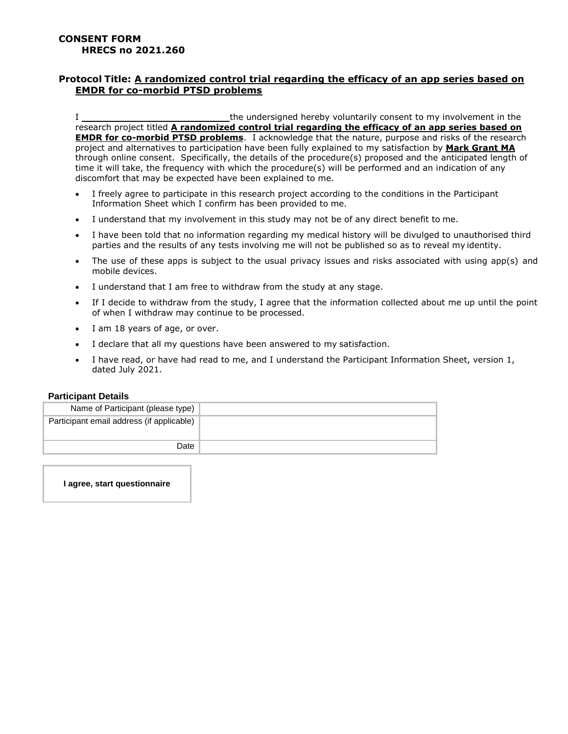## **Protocol Title: A randomized control trial regarding the efficacy of an app series based on EMDR for co-morbid PTSD problems**

I the undersigned hereby voluntarily consent to my involvement in the research project titled **A randomized control trial regarding the efficacy of an app series based on EMDR for co-morbid PTSD problems**. I acknowledge that the nature, purpose and risks of the research project and alternatives to participation have been fully explained to my satisfaction by **Mark Grant MA** through online consent. Specifically, the details of the procedure(s) proposed and the anticipated length of time it will take, the frequency with which the procedure(s) will be performed and an indication of any discomfort that may be expected have been explained to me.

- I freely agree to participate in this research project according to the conditions in the Participant Information Sheet which I confirm has been provided to me.
- I understand that my involvement in this study may not be of any direct benefit to me.
- I have been told that no information regarding my medical history will be divulged to unauthorised third parties and the results of any tests involving me will not be published so as to reveal my identity.
- The use of these apps is subject to the usual privacy issues and risks associated with using app(s) and mobile devices.
- I understand that I am free to withdraw from the study at any stage.
- If I decide to withdraw from the study, I agree that the information collected about me up until the point of when I withdraw may continue to be processed.
- I am 18 years of age, or over.
- I declare that all my questions have been answered to my satisfaction.
- I have read, or have had read to me, and I understand the Participant Information Sheet, version 1, dated July 2021.

## **Participant Details**

| Name of Participant (please type)         |  |
|-------------------------------------------|--|
| Participant email address (if applicable) |  |
| Date                                      |  |

**I agree, start questionnaire**